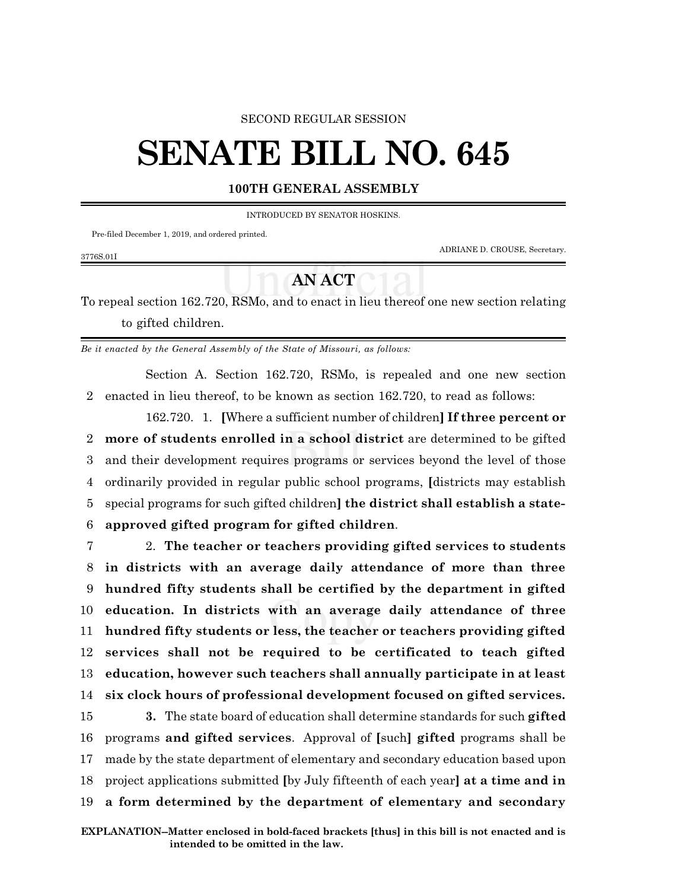### SECOND REGULAR SESSION

# **SENATE BILL NO. 645**

## **100TH GENERAL ASSEMBLY**

INTRODUCED BY SENATOR HOSKINS.

Pre-filed December 1, 2019, and ordered printed.

3776S.01I

ADRIANE D. CROUSE, Secretary.

# **AN ACT**

To repeal section 162.720, RSMo, and to enact in lieu thereof one new section relating to gifted children.

*Be it enacted by the General Assembly of the State of Missouri, as follows:*

Section A. Section 162.720, RSMo, is repealed and one new section 2 enacted in lieu thereof, to be known as section 162.720, to read as follows:

162.720. 1. **[**Where a sufficient number of children**] If three percent or more of students enrolled in a school district** are determined to be gifted and their development requires programs or services beyond the level of those ordinarily provided in regular public school programs, **[**districts may establish special programs for such gifted children**] the district shall establish a state-approved gifted program for gifted children**.

 2. **The teacher or teachers providing gifted services to students in districts with an average daily attendance of more than three hundred fifty students shall be certified by the department in gifted education. In districts with an average daily attendance of three hundred fifty students or less, the teacher or teachers providing gifted services shall not be required to be certificated to teach gifted education, however such teachers shall annually participate in at least six clock hours of professional development focused on gifted services. 3.** The state board of education shall determine standards for such **gifted**

 programs **and gifted services**. Approval of **[**such**] gifted** programs shall be made by the state department of elementary and secondary education based upon project applications submitted **[**by July fifteenth of each year**] at a time and in a form determined by the department of elementary and secondary**